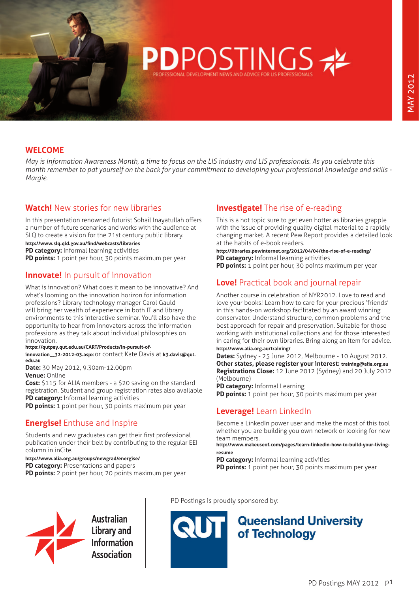#### **WELCOME**

*May is Information Awareness Month, a time to focus on the LIS industry and LIS professionals. As you celebrate this month remember to pat yourself on the back for your commitment to developing your professional knowledge and skills - Margie.*

**POSTINGS** 

## **Watch!** New stories for new libraries

In this presentation renowned futurist Sohail Inayatullah offers a number of future scenarios and works with the audience at SLQ to create a vision for the 21st century public library. **<http://www.slq.qld.gov.au/find/webcasts/libraries>**

**PD category:** Informal learning activities

**PD points:** 1 point per hour, 30 points maximum per year

#### **Innovate!** In pursuit of innovation

What is innovation? What does it mean to be innovative? And what's looming on the innovation horizon for information professions? Library technology manager Carol Gauld will bring her wealth of experience in both IT and library environments to this interactive seminar. You'll also have the opportunity to hear from innovators across the information professions as they talk about individual philosophies on innovation.

#### **[https://qutpay.qut.edu.au/CART/Products/In-pursuit-of-](https://qutpay.qut.edu.au/CART/Products/In-pursuit-of-innovation__32-2012-03.aspx)**

**[innovation\\_\\_32-2012-03.aspx](https://qutpay.qut.edu.au/CART/Products/In-pursuit-of-innovation__32-2012-03.aspx)** or contact Kate Davis at **[k3.davis@qut.](mailto:k3.davis@qut.edu.au) [edu.au](mailto:k3.davis@qut.edu.au)**

**Date:** 30 May 2012, 9.30am-12.00pm **Venue:** Online

**Cost:** \$115 for ALIA members - a \$20 saving on the standard registration. Student and group registration rates also available **PD category:** Informal learning activities

**PD points:** 1 point per hour, 30 points maximum per year

#### **Energise!** Enthuse and Inspire

Students and new graduates can get their first professional publication under their belt by contributing to the regular EEI column in inCite.

**<http://www.alia.org.au/groups/newgrad/energise/>**

**PD category:** Presentations and papers **PD points:** 2 point per hour, 20 points maximum per year

## **Investigate!** The rise of e-reading

This is a hot topic sure to get even hotter as libraries grapple with the issue of providing quality digital material to a rapidly changing market. A recent Pew Report provides a detailed look at the habits of e-book readers.

**<http://libraries.pewinternet.org/2012/04/04/the-rise-of-e-reading/> PD category:** Informal learning activities

**PD points:** 1 point per hour, 30 points maximum per year

#### **Love!** Practical book and journal repair

Another course in celebration of NYR2012. Love to read and love your books! Learn how to care for your precious 'friends' in this hands-on workshop facilitated by an award winning conservator. Understand structure, common problems and the best approach for repair and preservation. Suitable for those working with institutional collections and for those interested in caring for their own libraries. Bring along an item for advice. **<http://www.alia.org.au/training/>**

**Dates:** Sydney - 25 June 2012, Melbourne - 10 August 2012. **Other states, please register your interest: [training@alia.org.au](mailto:training@alia.org.au) Registrations Close:** 12 June 2012 (Sydney) and 20 July 2012 (Melbourne)

**PD category:** Informal Learning **PD points:** 1 point per hour, 30 points maximum per year

#### **Leverage!** Learn LinkedIn

Become a LinkedIn power user and make the most of this tool whether you are building you own network or looking for new team members.

**[http://www.makeuseof.com/pages/learn-linkedin-how-to-build-your-living](http://www.makeuseof.com/pages/learn-linkedin-how-to-build-your-living-resume)[resume](http://www.makeuseof.com/pages/learn-linkedin-how-to-build-your-living-resume)**

**PD category:** Informal learning activities

**PD points:** 1 point per hour, 30 points maximum per year



Australian **Library and Information Association** 

PD Postings is proudly sponsored by:



# **Queensland University** of Technology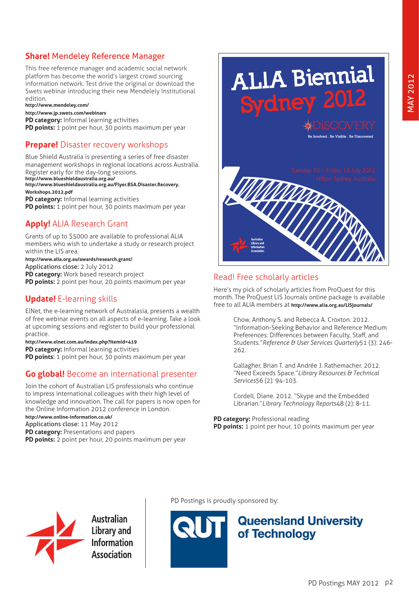# **Share!** Mendeley Reference Manager

This free reference manager and academic social network platform has become the world's largest crowd sourcing information network. Test drive the original or download the Swets webinar introducing their new Mendelely Institutional edition.

#### **<http://www.mendeley.com/>**

**<http://www.jp.swets.com/webinars>**

**PD category:** Informal learning activities

**PD points:** 1 point per hour, 30 points maximum per year

#### **Prepare!** Disaster recovery workshops

Blue Shield Australia is presenting a series of free disaster management workshops in regional locations across Australia. Register early for the day-long sessions. **<http://www.blueshieldaustralia.org.au/>**

**[http://www.blueshieldaustralia.org.au/Flyer.BSA.Disaster.Recovery.](http://www.blueshieldaustralia.org.au/Flyer.BSA.Disaster.Recovery.Workshops.2012.pdf) [Workshops.2012.pdf](http://www.blueshieldaustralia.org.au/Flyer.BSA.Disaster.Recovery.Workshops.2012.pdf)**

**PD category:** Informal learning activities

**PD points:** 1 point per hour, 30 points maximum per year

#### **Apply!** ALIA Research Grant

Grants of up to \$5000 are available to professional ALIA members who wish to undertake a study or research project within the LIS area.

**<http://www.alia.org.au/awards/research.grant/>** Applications close: 2 July 2012

**PD category:** Work based research project

**PD points:** 2 point per hour, 20 points maximum per year

## **Update!** E-learning skills

ElNet, the e-learning network of Australasia, presents a wealth of free webinar events on all aspects of e-learning. Take a look at upcoming sessions and register to build your professional practice.

**<http://www.elnet.com.au/index.php?Itemid=419>**

**PD category:** Informal learning activities **PD points**: 1 point per hour, 30 points maximum per year

#### **Go global!** Become an international presenter

Join the cohort of Australian LIS professionals who continue to impress international colleagues with their high level of knowledge and innovation. The call for papers is now open for the Online Information 2012 conference in London. **<http://www.online-information.co.uk/>** Applications close: 11 May 2012

**PD category:** Presentations and papers **PD points:** 2 point per hour, 20 points maximum per year



#### Read! Free scholarly articles

Here's my pick of scholarly articles from ProQuest for this month. The ProQuest LIS Journals online package is available free to all ALIA members at **<http://www.alia.org.au/LISjournals/>**

> Chow, Anthony S. and Rebecca A. Croxton. 2012. "Information-Seeking Behavior and Reference Medium Preferences: Differences between Faculty, Staff, and Students." *Reference & User Services Quarterly* 51 (3): 246-262.

Gallagher, Brian T. and Andrée J. Rathemacher. 2012. "Need Exceeds Space." *Library Resources & Technical Services* 56 (2): 94-103.

Cordell, Diane. 2012. "Skype and the Embedded Librarian." *Library Technology Reports* 48 (2): 8-11.

**PD category:** Professional reading

**PD points:** 1 point per hour, 10 points maximum per year



**Australian Library and Information Association** 

PD Postings is proudly sponsored by:



# **Queensland University** of Technology